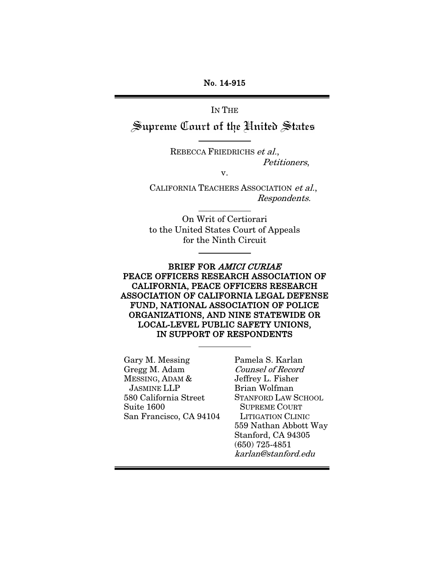No. 14-915

IN THE

Supreme Court of the United States

REBECCA FRIEDRICHS et al., Petitioners,

v.

CALIFORNIA TEACHERS ASSOCIATION et al., Respondents.

On Writ of Certiorari to the United States Court of Appeals for the Ninth Circuit

BRIEF FOR AMICI CURIAE PEACE OFFICERS RESEARCH ASSOCIATION OF CALIFORNIA, PEACE OFFICERS RESEARCH ASSOCIATION OF CALIFORNIA LEGAL DEFENSE FUND, NATIONAL ASSOCIATION OF POLICE ORGANIZATIONS, AND NINE STATEWIDE OR LOCAL-LEVEL PUBLIC SAFETY UNIONS, IN SUPPORT OF RESPONDENTS

Gary M. Messing Gregg M. Adam MESSING, ADAM & JASMINE LLP 580 California Street Suite 1600 San Francisco, CA 94104 Pamela S. Karlan Counsel of Record Jeffrey L. Fisher Brian Wolfman STANFORD LAW SCHOOL SUPREME COURT LITIGATION CLINIC 559 Nathan Abbott Way Stanford, CA 94305 (650) 725-4851 karlan@stanford.edu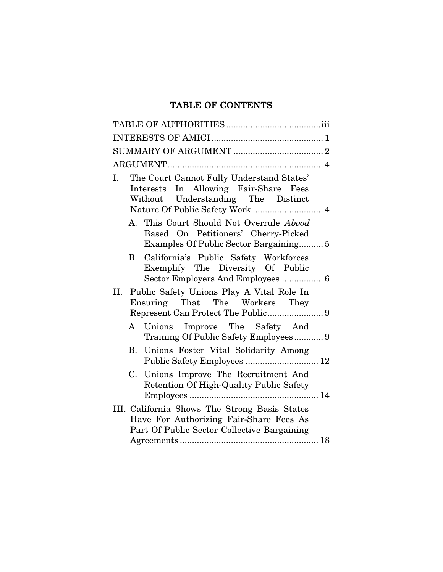## TABLE OF CONTENTS

| The Court Cannot Fully Understand States'<br>Ι.<br>Interests In Allowing Fair-Share Fees<br>Without Understanding The Distinct<br>Nature Of Public Safety Work  4 |  |
|-------------------------------------------------------------------------------------------------------------------------------------------------------------------|--|
| A. This Court Should Not Overrule <i>Abood</i><br>Based On Petitioners' Cherry-Picked<br>Examples Of Public Sector Bargaining5                                    |  |
| B. California's Public Safety Workforces<br>Exemplify The Diversity Of Public<br>Sector Employers And Employees  6                                                |  |
| II. Public Safety Unions Play A Vital Role In<br>Ensuring That The Workers They                                                                                   |  |
| A. Unions Improve The Safety And<br>Training Of Public Safety Employees 9                                                                                         |  |
| Unions Foster Vital Solidarity Among<br>В.<br>Public Safety Employees  12                                                                                         |  |
| C. Unions Improve The Recruitment And<br>Retention Of High-Quality Public Safety                                                                                  |  |
| III. California Shows The Strong Basis States<br>Have For Authorizing Fair-Share Fees As<br>Part Of Public Sector Collective Bargaining                           |  |
|                                                                                                                                                                   |  |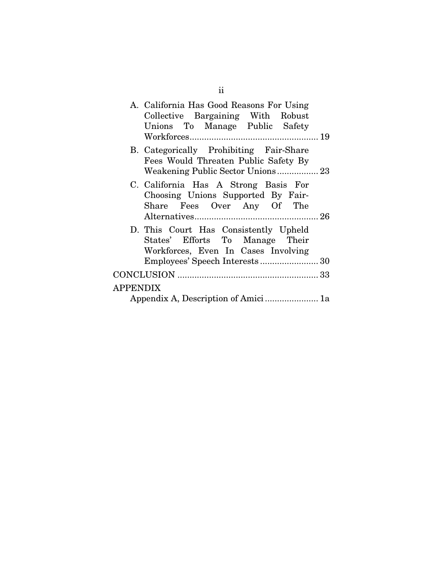|                 | A. California Has Good Reasons For Using<br>Collective Bargaining With Robust<br>Unions To Manage Public Safety |
|-----------------|-----------------------------------------------------------------------------------------------------------------|
|                 |                                                                                                                 |
|                 | B. Categorically Prohibiting Fair-Share                                                                         |
|                 | Fees Would Threaten Public Safety By                                                                            |
|                 | C. California Has A Strong Basis For                                                                            |
|                 | Choosing Unions Supported By Fair-                                                                              |
|                 | Share Fees Over Any Of The                                                                                      |
|                 |                                                                                                                 |
|                 | D. This Court Has Consistently Upheld                                                                           |
|                 | States' Efforts To Manage Their                                                                                 |
|                 | Workforces, Even In Cases Involving                                                                             |
|                 |                                                                                                                 |
|                 |                                                                                                                 |
| <b>APPENDIX</b> |                                                                                                                 |
|                 | Appendix A, Description of Amici 1a                                                                             |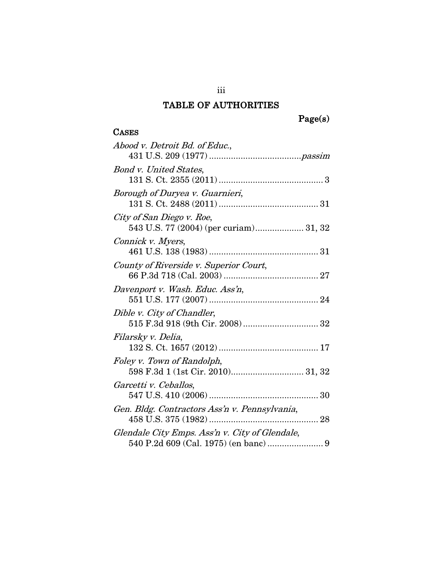## TABLE OF AUTHORITIES

# Page(s)

### **CASES**

| Abood v. Detroit Bd. of Educ.,                                  |
|-----------------------------------------------------------------|
|                                                                 |
| Bond v. United States,                                          |
|                                                                 |
| Borough of Duryea v. Guarnieri,                                 |
|                                                                 |
| City of San Diego v. Roe,                                       |
| 543 U.S. 77 (2004) (per curiam) 31, 32                          |
| Connick v. Myers,                                               |
|                                                                 |
| County of Riverside v. Superior Court,                          |
|                                                                 |
| Davenport v. Wash. Educ. Ass'n,                                 |
|                                                                 |
| Dible v. City of Chandler,                                      |
|                                                                 |
| Filarsky v. Delia,                                              |
|                                                                 |
| Foley v. Town of Randolph,<br>598 F.3d 1 (1st Cir. 2010) 31, 32 |
| Garcetti v. Ceballos,                                           |
|                                                                 |
| Gen. Bldg. Contractors Ass'n v. Pennsylvania,                   |
|                                                                 |
| Glendale City Emps. Ass'n v. City of Glendale,                  |
|                                                                 |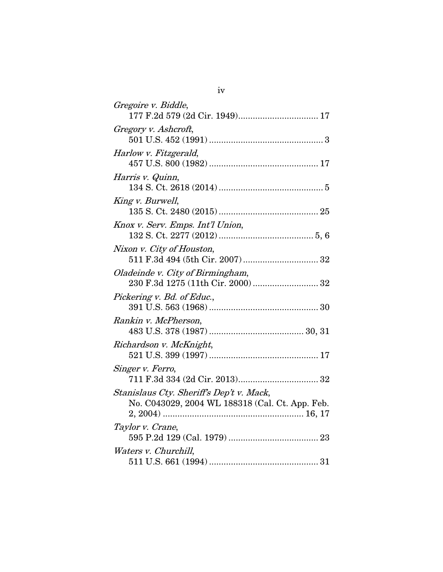| Gregoire v. Biddle,                                                                         |
|---------------------------------------------------------------------------------------------|
| 177 F.2d 579 (2d Cir. 1949) 17                                                              |
| Gregory v. Ashcroft,                                                                        |
| Harlow v. Fitzgerald,                                                                       |
| Harris v. Quinn,                                                                            |
| King v. Burwell,                                                                            |
| Knox v. Serv. Emps. Int'l Union,                                                            |
| Nixon v. City of Houston,                                                                   |
| Oladeinde v. City of Birmingham,<br>230 F.3d 1275 (11th Cir. 2000)  32                      |
| Pickering v. Bd. of Educ.,                                                                  |
| Rankin v. McPherson,                                                                        |
| Richardson v. McKnight,                                                                     |
| Singer v. Ferro,                                                                            |
| Stanislaus Cty. Sheriff's Dep't v. Mack,<br>No. C043029, 2004 WL 188318 (Cal. Ct. App. Feb. |
| Taylor v. Crane,                                                                            |
| Waters v. Churchill,                                                                        |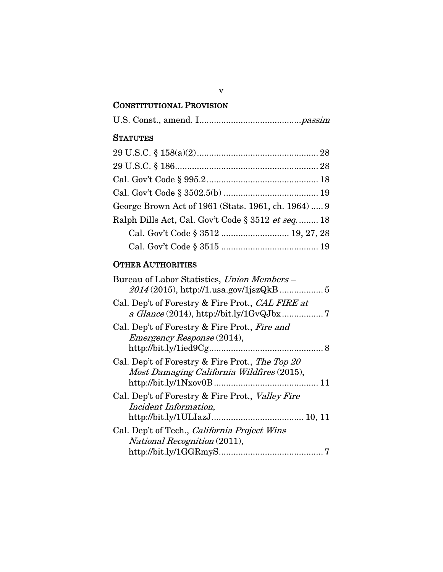## CONSTITUTIONAL PROVISION

### **STATUTES**

| George Brown Act of 1961 (Stats. 1961, ch. 1964)  9 |  |
|-----------------------------------------------------|--|
| Ralph Dills Act, Cal. Gov't Code § 3512 et seq 18   |  |
| Cal. Gov't Code § 3512  19, 27, 28                  |  |
|                                                     |  |

### OTHER AUTHORITIES

| Bureau of Labor Statistics, Union Members -                                                                           |
|-----------------------------------------------------------------------------------------------------------------------|
| Cal. Dep't of Forestry & Fire Prot., CAL FIRE at                                                                      |
| Cal. Dep't of Forestry & Fire Prot., Fire and<br><i>Emergency Response</i> (2014),                                    |
| Cal. Dep't of Forestry & Fire Prot., The Top 20<br>Most Damaging California Wildfires (2015),                         |
| Cal. Dep't of Forestry & Fire Prot., <i>Valley Fire</i><br>Incident Information,                                      |
| Cal. Dep't of Tech., <i>California Project Wins</i><br><i>National Recognition</i> (2011),<br>$http://bit.ly/1GGRmyS$ |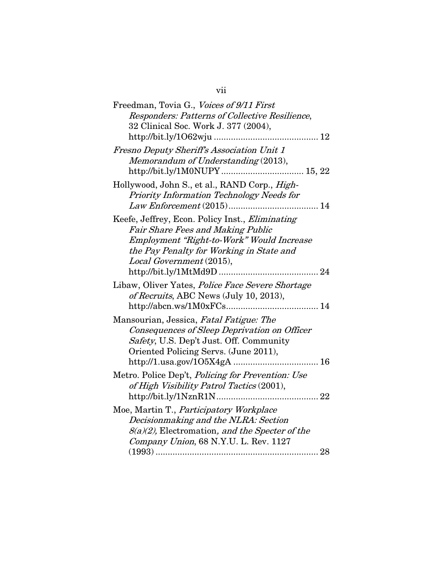| Freedman, Tovia G., Voices of 9/11 First                                                                                                                                    |
|-----------------------------------------------------------------------------------------------------------------------------------------------------------------------------|
| Responders: Patterns of Collective Resilience,                                                                                                                              |
| 32 Clinical Soc. Work J. 377 (2004),                                                                                                                                        |
|                                                                                                                                                                             |
| Fresno Deputy Sheriff's Association Unit 1                                                                                                                                  |
| Memorandum of Understanding (2013),                                                                                                                                         |
| Hollywood, John S., et al., RAND Corp., High-<br>Priority Information Technology Needs for                                                                                  |
| Keefe, Jeffrey, Econ. Policy Inst., <i>Eliminating</i><br><b>Fair Share Fees and Making Public</b>                                                                          |
| Employment "Right-to-Work" Would Increase<br>the Pay Penalty for Working in State and<br>Local Government (2015),                                                           |
|                                                                                                                                                                             |
| Libaw, Oliver Yates, Police Face Severe Shortage<br>of Recruits, ABC News (July 10, 2013),                                                                                  |
|                                                                                                                                                                             |
| Mansourian, Jessica, Fatal Fatigue: The<br>Consequences of Sleep Deprivation on Officer<br>Safety, U.S. Dep't Just. Off. Community<br>Oriented Policing Servs. (June 2011), |
|                                                                                                                                                                             |
| Metro. Police Dep't, Policing for Prevention: Use<br>of High Visibility Patrol Tactics (2001),                                                                              |
|                                                                                                                                                                             |
| Moe, Martin T., Participatory Workplace<br>Decisionmaking and the NLRA: Section                                                                                             |
| $8(a)(2)$ , Electromation, and the Specter of the                                                                                                                           |
| Company Union, 68 N.Y.U. L. Rev. 1127                                                                                                                                       |
|                                                                                                                                                                             |

| $\cdot$ $\cdot$<br>V11 |  |
|------------------------|--|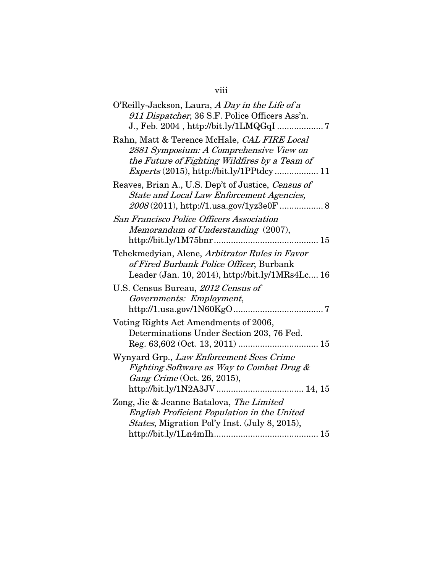## viii

| O'Reilly-Jackson, Laura, A Day in the Life of a<br>911 Dispatcher, 36 S.F. Police Officers Ass'n.                                                                                     |
|---------------------------------------------------------------------------------------------------------------------------------------------------------------------------------------|
| Rahn, Matt & Terence McHale, CAL FIRE Local<br>2881 Symposium: A Comprehensive View on<br>the Future of Fighting Wildfires by a Team of<br>$Express (2015), http://bit.ly/1PPtdcy 11$ |
| Reaves, Brian A., U.S. Dep't of Justice, Census of<br><b>State and Local Law Enforcement Agencies,</b><br>2008(2011), http://1.usa.gov/1yz3e0F  8                                     |
| <b>San Francisco Police Officers Association</b><br>Memorandum of Understanding (2007),                                                                                               |
| Tchekmedyian, Alene, Arbitrator Rules in Favor<br>of Fired Burbank Police Officer, Burbank<br>Leader (Jan. 10, 2014), http://bit.ly/1MRs4Lc 16                                        |
| U.S. Census Bureau, 2012 Census of<br>Governments: Employment,                                                                                                                        |
| Voting Rights Act Amendments of 2006,<br>Determinations Under Section 203, 76 Fed.                                                                                                    |
| Wynyard Grp., Law Enforcement Sees Crime<br>Fighting Software as Way to Combat Drug &<br>Gang Crime (Oct. 26, 2015),                                                                  |
| Zong, Jie & Jeanne Batalova, The Limited<br>English Proficient Population in the United<br>States, Migration Pol'y Inst. (July 8, 2015),                                              |
|                                                                                                                                                                                       |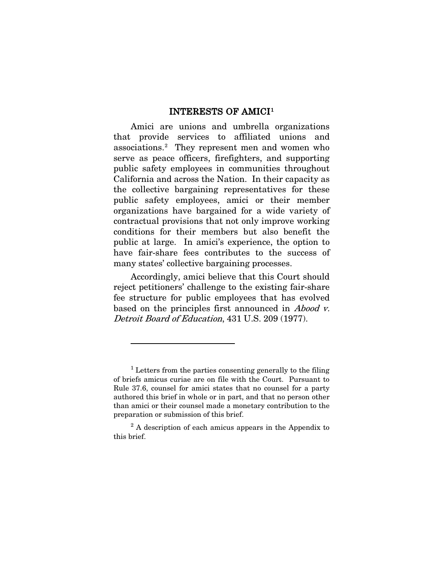#### INTERESTS OF AMICI[1](#page-9-1)

Amici are unions and umbrella organizations that provide services to affiliated unions and associations.[2](#page-9-2) They represent men and women who serve as peace officers, firefighters, and supporting public safety employees in communities throughout California and across the Nation. In their capacity as the collective bargaining representatives for these public safety employees, amici or their member organizations have bargained for a wide variety of contractual provisions that not only improve working conditions for their members but also benefit the public at large. In amici's experience, the option to have fair-share fees contributes to the success of many states' collective bargaining processes.

Accordingly, amici believe that this Court should reject petitioners' challenge to the existing fair-share fee structure for public employees that has evolved based on the principles first announced in *Abood v.* Detroit Board of Education, 431 U.S. 209 (1977).

<span id="page-9-0"></span> $\overline{a}$ 

<span id="page-9-1"></span> $<sup>1</sup>$  Letters from the parties consenting generally to the filing</sup> of briefs amicus curiae are on file with the Court. Pursuant to Rule 37.6, counsel for amici states that no counsel for a party authored this brief in whole or in part, and that no person other than amici or their counsel made a monetary contribution to the preparation or submission of this brief.

<span id="page-9-2"></span><sup>&</sup>lt;sup>2</sup> A description of each amicus appears in the Appendix to this brief.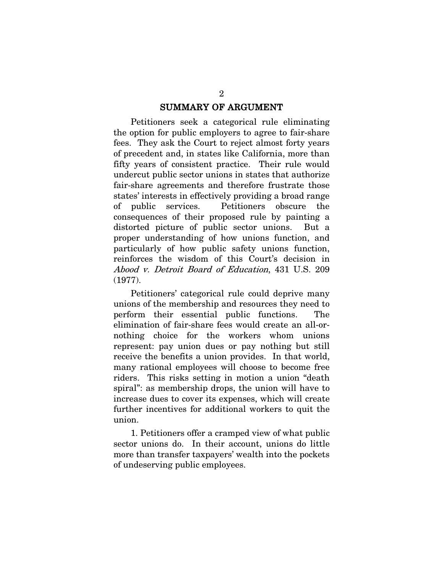#### SUMMARY OF ARGUMENT

Petitioners seek a categorical rule eliminating the option for public employers to agree to fair-share fees. They ask the Court to reject almost forty years of precedent and, in states like California, more than fifty years of consistent practice. Their rule would undercut public sector unions in states that authorize fair-share agreements and therefore frustrate those states' interests in effectively providing a broad range of public services. Petitioners obscure the consequences of their proposed rule by painting a distorted picture of public sector unions. But a proper understanding of how unions function, and particularly of how public safety unions function, reinforces the wisdom of this Court's decision in Abood v. Detroit Board of Education, 431 U.S. 209 (1977).

Petitioners' categorical rule could deprive many unions of the membership and resources they need to perform their essential public functions. The elimination of fair-share fees would create an all-ornothing choice for the workers whom unions represent: pay union dues or pay nothing but still receive the benefits a union provides. In that world, many rational employees will choose to become free riders. This risks setting in motion a union "death spiral": as membership drops, the union will have to increase dues to cover its expenses, which will create further incentives for additional workers to quit the union.

1. Petitioners offer a cramped view of what public sector unions do. In their account, unions do little more than transfer taxpayers' wealth into the pockets of undeserving public employees.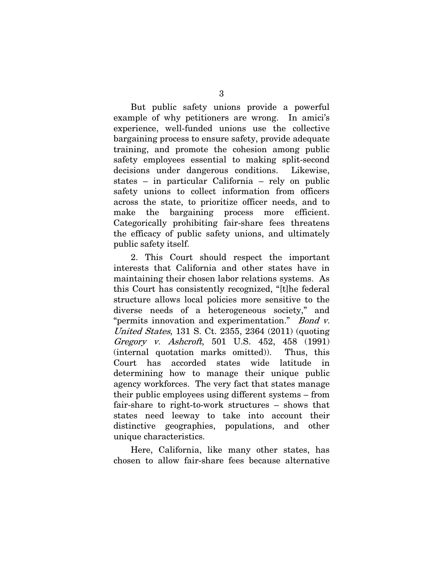But public safety unions provide a powerful example of why petitioners are wrong. In amici's experience, well-funded unions use the collective bargaining process to ensure safety, provide adequate training, and promote the cohesion among public safety employees essential to making split-second decisions under dangerous conditions. Likewise, states – in particular California – rely on public safety unions to collect information from officers across the state, to prioritize officer needs, and to make the bargaining process more efficient. Categorically prohibiting fair-share fees threatens the efficacy of public safety unions, and ultimately public safety itself.

<span id="page-11-1"></span><span id="page-11-0"></span>2. This Court should respect the important interests that California and other states have in maintaining their chosen labor relations systems. As this Court has consistently recognized, "[t]he federal structure allows local policies more sensitive to the diverse needs of a heterogeneous society," and "permits innovation and experimentation." Bond v. United States, 131 S. Ct. 2355, 2364 (2011) (quoting Gregory v. Ashcroft, 501 U.S. 452, 458 (1991) (internal quotation marks omitted)). Thus, this Court has accorded states wide latitude in determining how to manage their unique public agency workforces. The very fact that states manage their public employees using different systems – from fair-share to right-to-work structures – shows that states need leeway to take into account their distinctive geographies, populations, and other unique characteristics.

Here, California, like many other states, has chosen to allow fair-share fees because alternative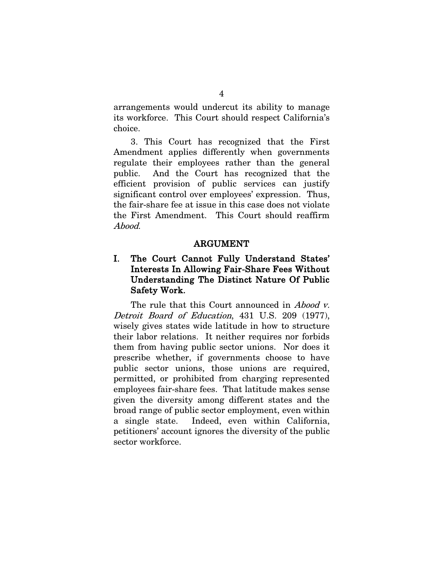arrangements would undercut its ability to manage its workforce. This Court should respect California's choice.

3. This Court has recognized that the First Amendment applies differently when governments regulate their employees rather than the general public. And the Court has recognized that the efficient provision of public services can justify significant control over employees' expression. Thus, the fair-share fee at issue in this case does not violate the First Amendment. This Court should reaffirm Abood.

#### ARGUMENT

### I. The Court Cannot Fully Understand States' Interests In Allowing Fair-Share Fees Without Understanding The Distinct Nature Of Public Safety Work.

The rule that this Court announced in *Abood v*. Detroit Board of Education, 431 U.S. 209 (1977), wisely gives states wide latitude in how to structure their labor relations. It neither requires nor forbids them from having public sector unions. Nor does it prescribe whether, if governments choose to have public sector unions, those unions are required, permitted, or prohibited from charging represented employees fair-share fees. That latitude makes sense given the diversity among different states and the broad range of public sector employment, even within a single state. Indeed, even within California, petitioners' account ignores the diversity of the public sector workforce.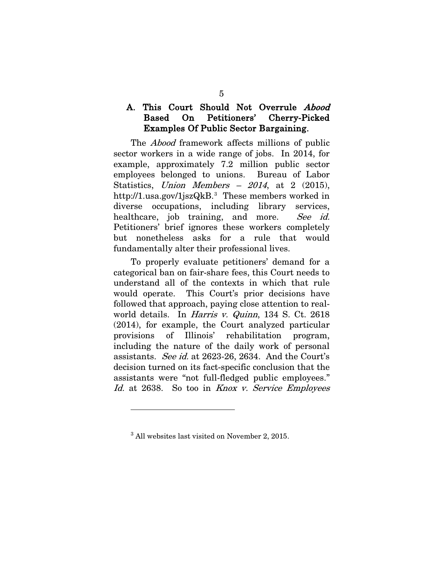### <span id="page-13-2"></span>A. This Court Should Not Overrule Abood Based On Petitioners' Cherry-Picked Examples Of Public Sector Bargaining.

The Abood framework affects millions of public sector workers in a wide range of jobs. In 2014, for example, approximately 7.2 million public sector employees belonged to unions. Bureau of Labor Statistics, Union Members  $-2014$ , at 2 (2015), http://1.usa.gov/1jszQkB.[3](#page-13-3) These members worked in diverse occupations, including library services, healthcare, job training, and more. See id. Petitioners' brief ignores these workers completely but nonetheless asks for a rule that would fundamentally alter their professional lives.

<span id="page-13-0"></span>To properly evaluate petitioners' demand for a categorical ban on fair-share fees, this Court needs to understand all of the contexts in which that rule would operate. This Court's prior decisions have followed that approach, paying close attention to realworld details. In *Harris v. Quinn*, 134 S. Ct. 2618 (2014), for example, the Court analyzed particular provisions of Illinois' rehabilitation program, including the nature of the daily work of personal assistants. See id. at 2623-26, 2634. And the Court's decision turned on its fact-specific conclusion that the assistants were "not full-fledged public employees." Id. at 2638. So too in Knox v. Service Employees

<span id="page-13-1"></span> $\overline{a}$ 

<span id="page-13-3"></span><sup>3</sup> All websites last visited on November 2, 2015.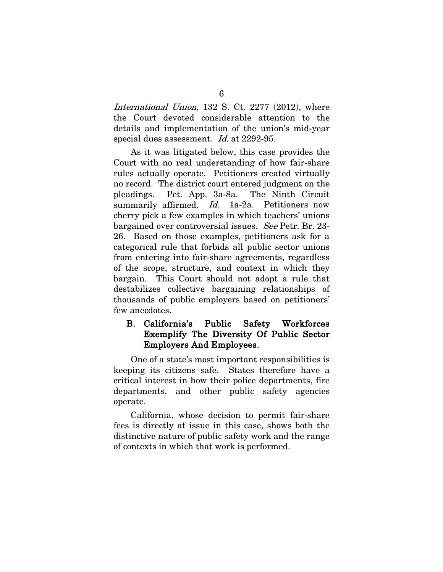International Union, 132 S. Ct. 2277 (2012), where the Court devoted considerable attention to the details and implementation of the union's mid-year special dues assessment. Id. at 2292-95.

As it was litigated below, this case provides the Court with no real understanding of how fair-share rules actually operate. Petitioners created virtually no record. The district court entered judgment on the pleadings. Pet. App. 3a-8a. The Ninth Circuit summarily affirmed. *Id.* 1a-2a. Petitioners now cherry pick a few examples in which teachers' unions bargained over controversial issues. See Petr. Br. 23-26. Based on those examples, petitioners ask for a categorical rule that forbids all public sector unions from entering into fair-share agreements, regardless of the scope, structure, and context in which they bargain. This Court should not adopt a rule that destabilizes collective bargaining relationships of thousands of public employers based on petitioners' few anecdotes.

### B. California's Public Safety Workforces Exemplify The Diversity Of Public Sector Employers And Employees.

One of a state's most important responsibilities is keeping its citizens safe. States therefore have a critical interest in how their police departments, fire departments, and other public safety agencies operate.

California, whose decision to permit fair-share fees is directly at issue in this case, shows both the distinctive nature of public safety work and the range of contexts in which that work is performed.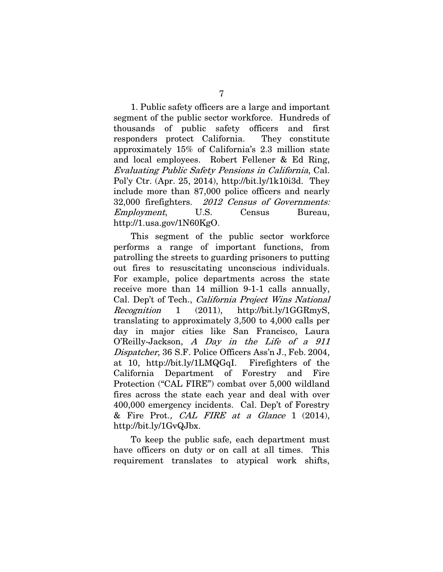<span id="page-15-2"></span>1. Public safety officers are a large and important segment of the public sector workforce. Hundreds of thousands of public safety officers and first responders protect California. They constitute approximately 15% of California's 2.3 million state and local employees. Robert Fellener & Ed Ring, Evaluating Public Safety Pensions in California, Cal. Pol'y Ctr. (Apr. 25, 2014), http://bit.ly/1k10i3d. They include more than 87,000 police officers and nearly 32,000 firefighters. 2012 Census of Governments: Employment, U.S. Census Bureau, http://1.usa.gov/1N60KgO.

<span id="page-15-4"></span><span id="page-15-1"></span>This segment of the public sector workforce performs a range of important functions, from patrolling the streets to guarding prisoners to putting out fires to resuscitating unconscious individuals. For example, police departments across the state receive more than 14 million 9-1-1 calls annually, Cal. Dep't of Tech., California Project Wins National Recognition 1 (2011), http://bit.ly/1GGRmyS, translating to approximately 3,500 to 4,000 calls per day in major cities like San Francisco, Laura O'Reilly-Jackson, A Day in the Life of a 911 Dispatcher, 36 S.F. Police Officers Ass'n J., Feb. 2004, at 10, http://bit.ly/1LMQGqI. Firefighters of the California Department of Forestry and Fire Protection ("CAL FIRE") combat over 5,000 wildland fires across the state each year and deal with over 400,000 emergency incidents. Cal. Dep't of Forestry & Fire Prot., CAL FIRE at a Glance 1 (2014), http://bit.ly/1GvQJbx.

<span id="page-15-3"></span><span id="page-15-0"></span>To keep the public safe, each department must have officers on duty or on call at all times. This requirement translates to atypical work shifts,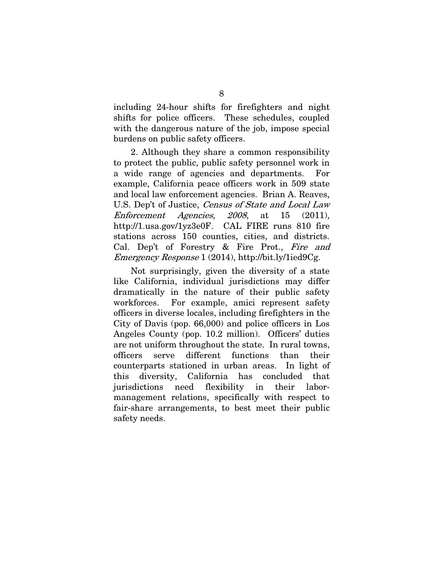including 24-hour shifts for firefighters and night shifts for police officers. These schedules, coupled with the dangerous nature of the job, impose special burdens on public safety officers.

2. Although they share a common responsibility to protect the public, public safety personnel work in a wide range of agencies and departments. For example, California peace officers work in 509 state and local law enforcement agencies. Brian A. Reaves, U.S. Dep't of Justice, Census of State and Local Law Enforcement Agencies, 2008, at 15 (2011), http://1.usa.gov/1yz3e0F. CAL FIRE runs 810 fire stations across 150 counties, cities, and districts. Cal. Dep't of Forestry & Fire Prot., Fire and Emergency Response 1 (2014), http://bit.ly/1ied9Cg.

<span id="page-16-0"></span>Not surprisingly, given the diversity of a state like California, individual jurisdictions may differ dramatically in the nature of their public safety workforces. For example, amici represent safety officers in diverse locales, including firefighters in the City of Davis (pop. 66,000) and police officers in Los Angeles County (pop. 10.2 million). Officers' duties are not uniform throughout the state. In rural towns, officers serve different functions than their counterparts stationed in urban areas. In light of this diversity, California has concluded that jurisdictions need flexibility in their labormanagement relations, specifically with respect to fair-share arrangements, to best meet their public safety needs.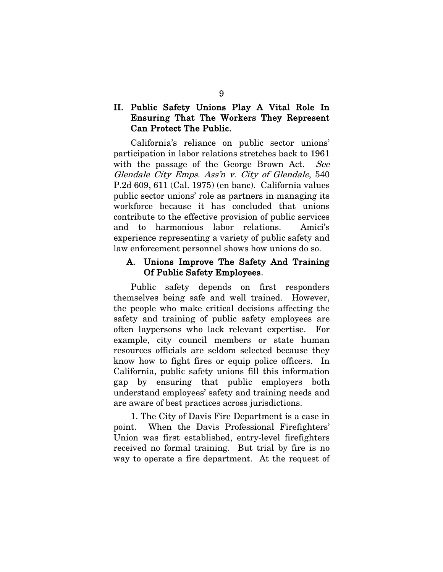### II. Public Safety Unions Play A Vital Role In Ensuring That The Workers They Represent Can Protect The Public.

<span id="page-17-1"></span><span id="page-17-0"></span>California's reliance on public sector unions' participation in labor relations stretches back to 1961 with the passage of the George Brown Act. See Glendale City Emps. Ass'n v. City of Glendale, 540 P.2d 609, 611 (Cal. 1975) (en banc). California values public sector unions' role as partners in managing its workforce because it has concluded that unions contribute to the effective provision of public services and to harmonious labor relations. Amici's experience representing a variety of public safety and law enforcement personnel shows how unions do so.

#### A. Unions Improve The Safety And Training Of Public Safety Employees.

Public safety depends on first responders themselves being safe and well trained. However, the people who make critical decisions affecting the safety and training of public safety employees are often laypersons who lack relevant expertise. For example, city council members or state human resources officials are seldom selected because they know how to fight fires or equip police officers. In California, public safety unions fill this information gap by ensuring that public employers both understand employees' safety and training needs and are aware of best practices across jurisdictions.

1. The City of Davis Fire Department is a case in point. When the Davis Professional Firefighters' Union was first established, entry-level firefighters received no formal training. But trial by fire is no way to operate a fire department. At the request of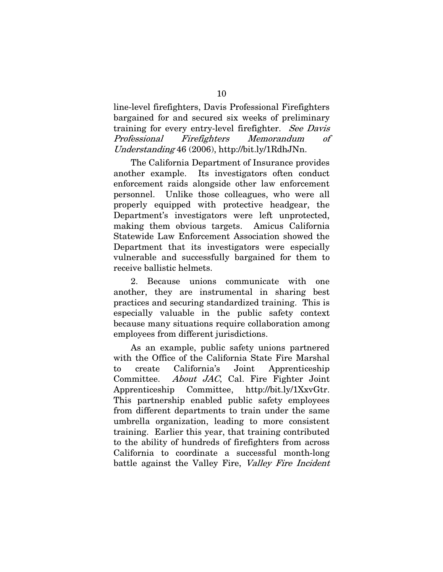line-level firefighters, Davis Professional Firefighters bargained for and secured six weeks of preliminary training for every entry-level firefighter. See Davis Professional Firefighters Memorandum of Understanding 46 (2006), http://bit.ly/1RdhJNn.

The California Department of Insurance provides another example. Its investigators often conduct enforcement raids alongside other law enforcement personnel. Unlike those colleagues, who were all properly equipped with protective headgear, the Department's investigators were left unprotected, making them obvious targets. Amicus California Statewide Law Enforcement Association showed the Department that its investigators were especially vulnerable and successfully bargained for them to receive ballistic helmets.

2. Because unions communicate with one another, they are instrumental in sharing best practices and securing standardized training. This is especially valuable in the public safety context because many situations require collaboration among employees from different jurisdictions.

<span id="page-18-1"></span><span id="page-18-0"></span>As an example, public safety unions partnered with the Office of the California State Fire Marshal to create California's Joint Apprenticeship Committee. About JAC, Cal. Fire Fighter Joint Apprenticeship Committee, http://bit.ly/1XxvGtr. This partnership enabled public safety employees from different departments to train under the same umbrella organization, leading to more consistent training. Earlier this year, that training contributed to the ability of hundreds of firefighters from across California to coordinate a successful month-long battle against the Valley Fire, Valley Fire Incident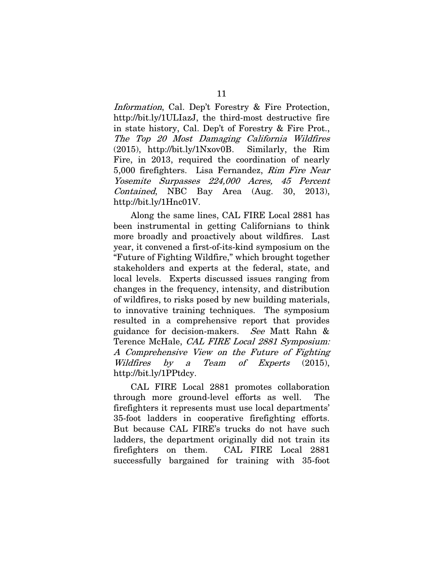<span id="page-19-0"></span>Information, Cal. Dep't Forestry & Fire Protection, http://bit.ly/1ULIazJ, the third-most destructive fire in state history, Cal. Dep't of Forestry & Fire Prot., The Top 20 Most Damaging California Wildfires (2015), http://bit.ly/1Nxov0B. Similarly, the Rim Fire, in 2013, required the coordination of nearly 5,000 firefighters. Lisa Fernandez, Rim Fire Near Yosemite Surpasses 224,000 Acres, 45 Percent Contained, NBC Bay Area (Aug. 30, 2013), http://bit.ly/1Hnc01V.

<span id="page-19-1"></span>Along the same lines, CAL FIRE Local 2881 has been instrumental in getting Californians to think more broadly and proactively about wildfires. Last year, it convened a first-of-its-kind symposium on the "Future of Fighting Wildfire," which brought together stakeholders and experts at the federal, state, and local levels. Experts discussed issues ranging from changes in the frequency, intensity, and distribution of wildfires, to risks posed by new building materials, to innovative training techniques. The symposium resulted in a comprehensive report that provides guidance for decision-makers. See Matt Rahn & Terence McHale, CAL FIRE Local 2881 Symposium: A Comprehensive View on the Future of Fighting Wildfires by a Team of Experts (2015), http://bit.ly/1PPtdcy.

<span id="page-19-2"></span>CAL FIRE Local 2881 promotes collaboration through more ground-level efforts as well. The firefighters it represents must use local departments' 35-foot ladders in cooperative firefighting efforts. But because CAL FIRE's trucks do not have such ladders, the department originally did not train its firefighters on them. CAL FIRE Local 2881 successfully bargained for training with 35-foot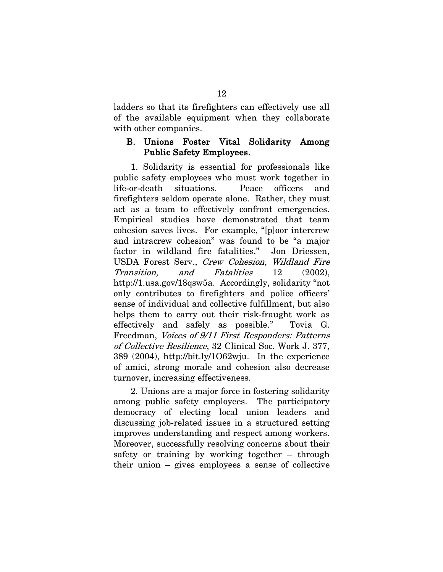ladders so that its firefighters can effectively use all of the available equipment when they collaborate with other companies.

#### B. Unions Foster Vital Solidarity Among Public Safety Employees.

1. Solidarity is essential for professionals like public safety employees who must work together in life-or-death situations. Peace officers and firefighters seldom operate alone. Rather, they must act as a team to effectively confront emergencies. Empirical studies have demonstrated that team cohesion saves lives. For example, "[p]oor intercrew and intracrew cohesion" was found to be "a major factor in wildland fire fatalities." Jon Driessen, USDA Forest Serv., Crew Cohesion, Wildland Fire Transition, and Fatalities 12 (2002), http://1.usa.gov/18qsw5a. Accordingly, solidarity "not only contributes to firefighters and police officers' sense of individual and collective fulfillment, but also helps them to carry out their risk-fraught work as effectively and safely as possible." Tovia G. Freedman, Voices of 9/11 First Responders: Patterns of Collective Resilience, 32 Clinical Soc. Work J. 377, 389 (2004), http://bit.ly/1O62wju. In the experience of amici, strong morale and cohesion also decrease turnover, increasing effectiveness.

<span id="page-20-0"></span>2. Unions are a major force in fostering solidarity among public safety employees. The participatory democracy of electing local union leaders and discussing job-related issues in a structured setting improves understanding and respect among workers. Moreover, successfully resolving concerns about their safety or training by working together – through their union – gives employees a sense of collective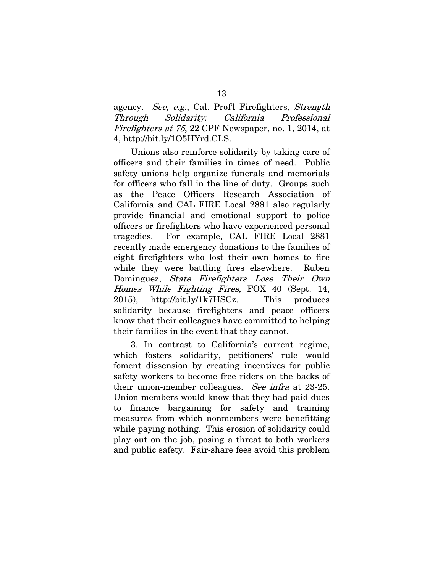<span id="page-21-0"></span>agency. See, e.g., Cal. Prof! Firefighters, Strength Through Solidarity: California Professional Firefighters at 75, 22 CPF Newspaper, no. 1, 2014, at 4, http://bit.ly/1O5HYrd.CLS.

Unions also reinforce solidarity by taking care of officers and their families in times of need. Public safety unions help organize funerals and memorials for officers who fall in the line of duty. Groups such as the Peace Officers Research Association of California and CAL FIRE Local 2881 also regularly provide financial and emotional support to police officers or firefighters who have experienced personal tragedies. For example, CAL FIRE Local 2881 recently made emergency donations to the families of eight firefighters who lost their own homes to fire while they were battling fires elsewhere. Ruben Dominguez, *State Firefighters Lose Their Own* Homes While Fighting Fires, FOX 40 (Sept. 14, 2015), http://bit.ly/1k7HSCz. This produces solidarity because firefighters and peace officers know that their colleagues have committed to helping their families in the event that they cannot.

3. In contrast to California's current regime, which fosters solidarity, petitioners' rule would foment dissension by creating incentives for public safety workers to become free riders on the backs of their union-member colleagues. See infra at 23-25. Union members would know that they had paid dues to finance bargaining for safety and training measures from which nonmembers were benefitting while paying nothing. This erosion of solidarity could play out on the job, posing a threat to both workers and public safety. Fair-share fees avoid this problem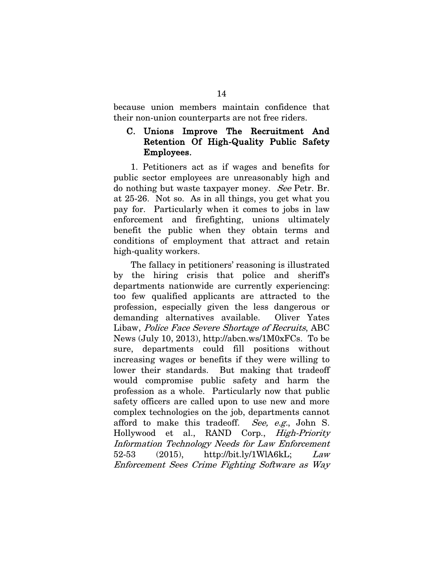because union members maintain confidence that their non-union counterparts are not free riders.

#### C. Unions Improve The Recruitment And Retention Of High-Quality Public Safety Employees.

1. Petitioners act as if wages and benefits for public sector employees are unreasonably high and do nothing but waste taxpayer money. See Petr. Br. at 25-26. Not so. As in all things, you get what you pay for. Particularly when it comes to jobs in law enforcement and firefighting, unions ultimately benefit the public when they obtain terms and conditions of employment that attract and retain high-quality workers.

<span id="page-22-0"></span>The fallacy in petitioners' reasoning is illustrated by the hiring crisis that police and sheriff's departments nationwide are currently experiencing: too few qualified applicants are attracted to the profession, especially given the less dangerous or demanding alternatives available. Oliver Yates Libaw, Police Face Severe Shortage of Recruits, ABC News (July 10, 2013), http://abcn.ws/1M0xFCs. To be sure, departments could fill positions without increasing wages or benefits if they were willing to lower their standards. But making that tradeoff would compromise public safety and harm the profession as a whole. Particularly now that public safety officers are called upon to use new and more complex technologies on the job, departments cannot afford to make this tradeoff. See, e.g., John S. Hollywood et al., RAND Corp., High-Priority Information Technology Needs for Law Enforcement  $52-53$  (2015), http://bit.ly/1WlA6kL; Law Enforcement Sees Crime Fighting Software as Way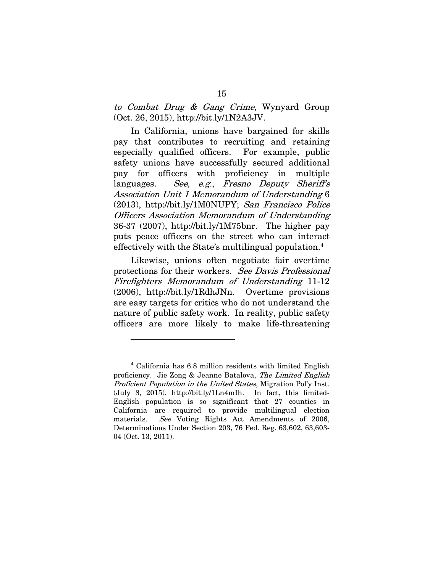<span id="page-23-3"></span>to Combat Drug & Gang Crime, Wynyard Group (Oct. 26, 2015), http://bit.ly/1N2A3JV.

<span id="page-23-1"></span>In California, unions have bargained for skills pay that contributes to recruiting and retaining especially qualified officers. For example, public safety unions have successfully secured additional pay for officers with proficiency in multiple languages. See, e.g., Fresno Deputy Sheriff's Association Unit 1 Memorandum of Understanding 6 (2013), http://bit.ly/1M0NUPY; San Francisco Police Officers Association Memorandum of Understanding 36-37 (2007), http://bit.ly/1M75bnr. The higher pay puts peace officers on the street who can interact effectively with the State's multilingual population[.4](#page-23-5)

Likewise, unions often negotiate fair overtime protections for their workers. See Davis Professional Firefighters Memorandum of Understanding 11-12 (2006), http://bit.ly/1RdhJNn. Overtime provisions are easy targets for critics who do not understand the nature of public safety work. In reality, public safety officers are more likely to make life-threatening

<span id="page-23-4"></span><span id="page-23-2"></span><span id="page-23-0"></span> $\overline{a}$ 

<span id="page-23-5"></span><sup>4</sup> California has 6.8 million residents with limited English proficiency. Jie Zong & Jeanne Batalova, The Limited English Proficient Population in the United States, Migration Pol'y Inst. (July 8, 2015), http://bit.ly/1Ln4mIh. In fact, this limited-English population is so significant that 27 counties in California are required to provide multilingual election materials. See Voting Rights Act Amendments of 2006, Determinations Under Section 203, 76 Fed. Reg. 63,602, 63,603- 04 (Oct. 13, 2011).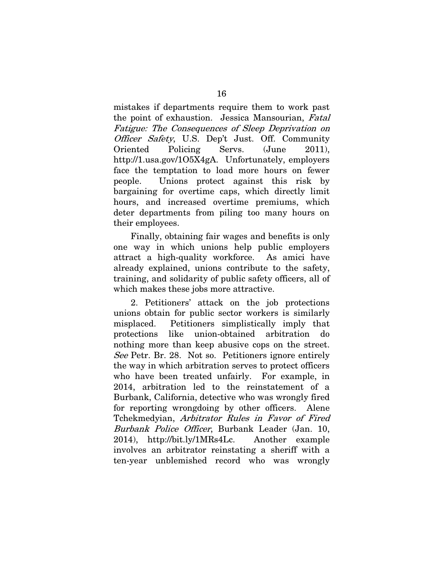<span id="page-24-0"></span>mistakes if departments require them to work past the point of exhaustion. Jessica Mansourian, Fatal Fatigue: The Consequences of Sleep Deprivation on Officer Safety, U.S. Dep't Just. Off. Community Oriented Policing Servs. (June 2011), http://1.usa.gov/1O5X4gA. Unfortunately, employers face the temptation to load more hours on fewer people. Unions protect against this risk by bargaining for overtime caps, which directly limit hours, and increased overtime premiums, which deter departments from piling too many hours on their employees.

Finally, obtaining fair wages and benefits is only one way in which unions help public employers attract a high-quality workforce. As amici have already explained, unions contribute to the safety, training, and solidarity of public safety officers, all of which makes these jobs more attractive.

<span id="page-24-1"></span>2. Petitioners' attack on the job protections unions obtain for public sector workers is similarly misplaced. Petitioners simplistically imply that protections like union-obtained arbitration do nothing more than keep abusive cops on the street. See Petr. Br. 28. Not so. Petitioners ignore entirely the way in which arbitration serves to protect officers who have been treated unfairly. For example, in 2014, arbitration led to the reinstatement of a Burbank, California, detective who was wrongly fired for reporting wrongdoing by other officers. Alene Tchekmedyian, Arbitrator Rules in Favor of Fired Burbank Police Officer, Burbank Leader (Jan. 10, 2014), http://bit.ly/1MRs4Lc. Another example involves an arbitrator reinstating a sheriff with a ten-year unblemished record who was wrongly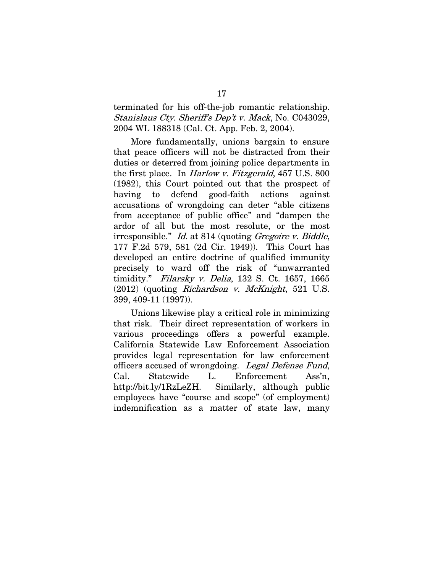<span id="page-25-4"></span>terminated for his off-the-job romantic relationship. Stanislaus Cty. Sheriff's Dep't v. Mack, No. C043029, 2004 WL 188318 (Cal. Ct. App. Feb. 2, 2004).

<span id="page-25-2"></span>More fundamentally, unions bargain to ensure that peace officers will not be distracted from their duties or deterred from joining police departments in the first place. In Harlow v. Fitzgerald, 457 U.S. 800 (1982), this Court pointed out that the prospect of having to defend good-faith actions against accusations of wrongdoing can deter "able citizens from acceptance of public office" and "dampen the ardor of all but the most resolute, or the most irresponsible." Id. at 814 (quoting Gregoire v. Biddle, 177 F.2d 579, 581 (2d Cir. 1949)). This Court has developed an entire doctrine of qualified immunity precisely to ward off the risk of "unwarranted timidity." Filarsky v. Delia, 132 S. Ct. 1657, 1665  $(2012)$  (quoting *Richardson v. McKnight*, 521 U.S. 399, 409-11 (1997)).

<span id="page-25-5"></span><span id="page-25-3"></span><span id="page-25-1"></span><span id="page-25-0"></span>Unions likewise play a critical role in minimizing that risk. Their direct representation of workers in various proceedings offers a powerful example. California Statewide Law Enforcement Association provides legal representation for law enforcement officers accused of wrongdoing. Legal Defense Fund, Cal. Statewide L. Enforcement Ass'n, http://bit.ly/1RzLeZH. Similarly, although public employees have "course and scope" (of employment) indemnification as a matter of state law, many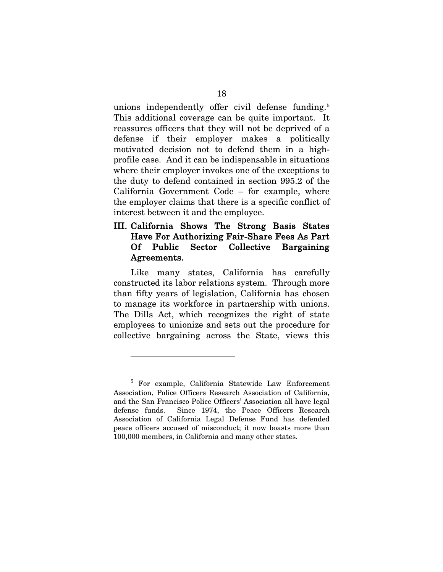unions independently offer civil defense funding.<sup>[5](#page-26-0)</sup> This additional coverage can be quite important. It reassures officers that they will not be deprived of a defense if their employer makes a politically motivated decision not to defend them in a highprofile case. And it can be indispensable in situations where their employer invokes one of the exceptions to the duty to defend contained in section 995.2 of the California Government Code – for example, where the employer claims that there is a specific conflict of interest between it and the employee.

### III. California Shows The Strong Basis States Have For Authorizing Fair-Share Fees As Part Of Public Sector Collective Bargaining Agreements.

Like many states, California has carefully constructed its labor relations system. Through more than fifty years of legislation, California has chosen to manage its workforce in partnership with unions. The Dills Act, which recognizes the right of state employees to unionize and sets out the procedure for collective bargaining across the State, views this

 $\overline{a}$ 

<span id="page-26-0"></span><sup>5</sup> For example, California Statewide Law Enforcement Association, Police Officers Research Association of California, and the San Francisco Police Officers' Association all have legal defense funds. Since 1974, the Peace Officers Research Association of California Legal Defense Fund has defended peace officers accused of misconduct; it now boasts more than 100,000 members, in California and many other states.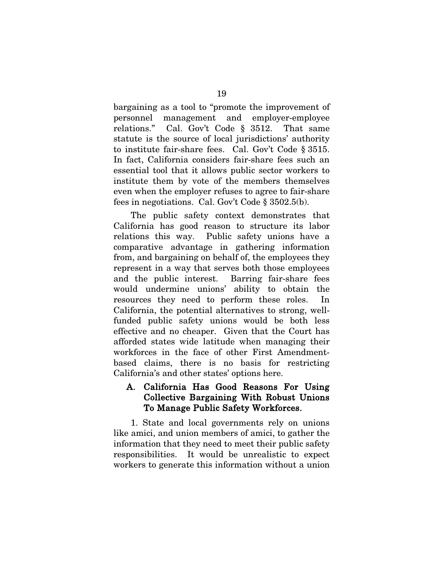<span id="page-27-2"></span><span id="page-27-1"></span>bargaining as a tool to "promote the improvement of personnel management and employer-employee relations." Cal. Gov't Code § 3512. That same statute is the source of local jurisdictions' authority to institute fair-share fees. Cal. Gov't Code § 3515. In fact, California considers fair-share fees such an essential tool that it allows public sector workers to institute them by vote of the members themselves even when the employer refuses to agree to fair-share fees in negotiations. Cal. Gov't Code § 3502.5(b).

<span id="page-27-0"></span>The public safety context demonstrates that California has good reason to structure its labor relations this way. Public safety unions have a comparative advantage in gathering information from, and bargaining on behalf of, the employees they represent in a way that serves both those employees and the public interest. Barring fair-share fees would undermine unions' ability to obtain the resources they need to perform these roles. In California, the potential alternatives to strong, wellfunded public safety unions would be both less effective and no cheaper. Given that the Court has afforded states wide latitude when managing their workforces in the face of other First Amendmentbased claims, there is no basis for restricting California's and other states' options here.

#### A. California Has Good Reasons For Using Collective Bargaining With Robust Unions To Manage Public Safety Workforces.

1. State and local governments rely on unions like amici, and union members of amici, to gather the information that they need to meet their public safety responsibilities. It would be unrealistic to expect workers to generate this information without a union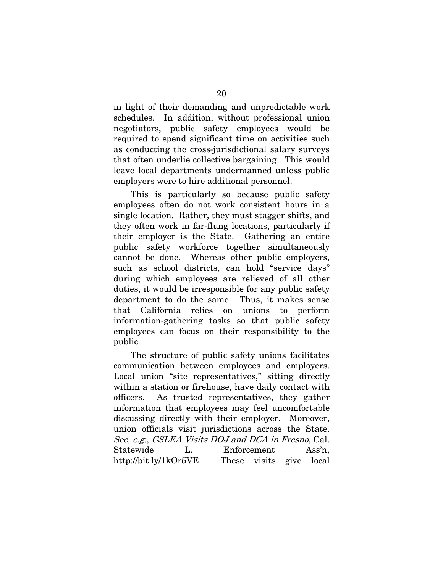in light of their demanding and unpredictable work schedules. In addition, without professional union negotiators, public safety employees would be required to spend significant time on activities such as conducting the cross-jurisdictional salary surveys that often underlie collective bargaining. This would leave local departments undermanned unless public employers were to hire additional personnel.

This is particularly so because public safety employees often do not work consistent hours in a single location. Rather, they must stagger shifts, and they often work in far-flung locations, particularly if their employer is the State. Gathering an entire public safety workforce together simultaneously cannot be done. Whereas other public employers, such as school districts, can hold "service days" during which employees are relieved of all other duties, it would be irresponsible for any public safety department to do the same. Thus, it makes sense that California relies on unions to perform information-gathering tasks so that public safety employees can focus on their responsibility to the public.

<span id="page-28-0"></span>The structure of public safety unions facilitates communication between employees and employers. Local union "site representatives," sitting directly within a station or firehouse, have daily contact with officers. As trusted representatives, they gather information that employees may feel uncomfortable discussing directly with their employer. Moreover, union officials visit jurisdictions across the State. See, e.g., CSLEA Visits DOJ and DCA in Fresno, Cal. Statewide L. Enforcement Ass'n. http://bit.ly/1kOr5VE. These visits give local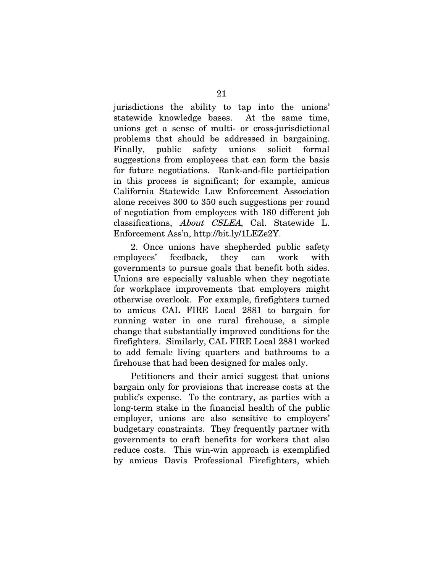jurisdictions the ability to tap into the unions' statewide knowledge bases. At the same time, unions get a sense of multi- or cross-jurisdictional problems that should be addressed in bargaining. Finally, public safety unions solicit formal suggestions from employees that can form the basis for future negotiations. Rank-and-file participation in this process is significant; for example, amicus California Statewide Law Enforcement Association alone receives 300 to 350 such suggestions per round of negotiation from employees with 180 different job classifications, About CSLEA, Cal. Statewide L. Enforcement Ass'n, http://bit.ly/1LEZe2Y.

<span id="page-29-0"></span>2. Once unions have shepherded public safety employees' feedback, they can work with governments to pursue goals that benefit both sides. Unions are especially valuable when they negotiate for workplace improvements that employers might otherwise overlook. For example, firefighters turned to amicus CAL FIRE Local 2881 to bargain for running water in one rural firehouse, a simple change that substantially improved conditions for the firefighters. Similarly, CAL FIRE Local 2881 worked to add female living quarters and bathrooms to a firehouse that had been designed for males only.

Petitioners and their amici suggest that unions bargain only for provisions that increase costs at the public's expense. To the contrary, as parties with a long-term stake in the financial health of the public employer, unions are also sensitive to employers' budgetary constraints. They frequently partner with governments to craft benefits for workers that also reduce costs. This win-win approach is exemplified by amicus Davis Professional Firefighters, which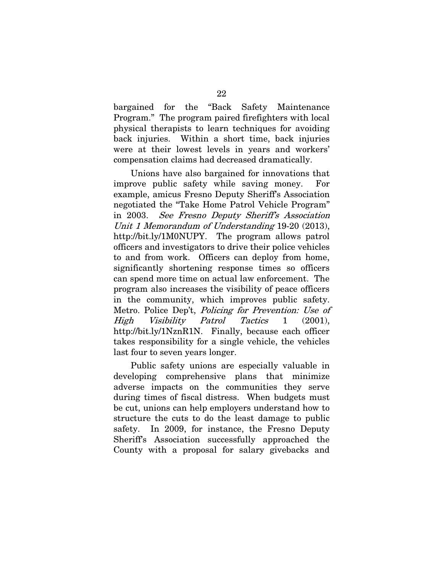bargained for the "Back Safety Maintenance Program." The program paired firefighters with local physical therapists to learn techniques for avoiding back injuries. Within a short time, back injuries were at their lowest levels in years and workers' compensation claims had decreased dramatically.

Unions have also bargained for innovations that improve public safety while saving money. For example, amicus Fresno Deputy Sheriff's Association negotiated the "Take Home Patrol Vehicle Program" in 2003. See Fresno Deputy Sheriff's Association Unit 1 Memorandum of Understanding 19-20 (2013), http://bit.ly/1M0NUPY. The program allows patrol officers and investigators to drive their police vehicles to and from work. Officers can deploy from home, significantly shortening response times so officers can spend more time on actual law enforcement. The program also increases the visibility of peace officers in the community, which improves public safety. Metro. Police Dep't, Policing for Prevention: Use of High Visibility Patrol Tactics 1 (2001), http://bit.ly/1NznR1N. Finally, because each officer takes responsibility for a single vehicle, the vehicles last four to seven years longer.

<span id="page-30-0"></span>Public safety unions are especially valuable in developing comprehensive plans that minimize adverse impacts on the communities they serve during times of fiscal distress. When budgets must be cut, unions can help employers understand how to structure the cuts to do the least damage to public safety. In 2009, for instance, the Fresno Deputy Sheriff's Association successfully approached the County with a proposal for salary givebacks and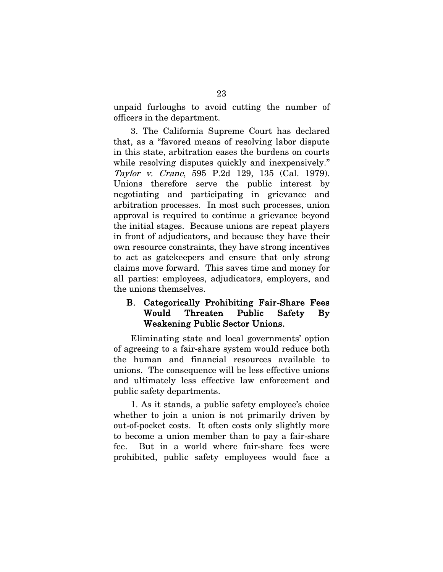unpaid furloughs to avoid cutting the number of officers in the department.

<span id="page-31-0"></span>3. The California Supreme Court has declared that, as a "favored means of resolving labor dispute in this state, arbitration eases the burdens on courts while resolving disputes quickly and inexpensively." Taylor v. Crane, 595 P.2d 129, 135 (Cal. 1979). Unions therefore serve the public interest by negotiating and participating in grievance and arbitration processes. In most such processes, union approval is required to continue a grievance beyond the initial stages. Because unions are repeat players in front of adjudicators, and because they have their own resource constraints, they have strong incentives to act as gatekeepers and ensure that only strong claims move forward. This saves time and money for all parties: employees, adjudicators, employers, and the unions themselves.

### B. Categorically Prohibiting Fair-Share Fees Would Threaten Public Safety By Weakening Public Sector Unions.

Eliminating state and local governments' option of agreeing to a fair-share system would reduce both the human and financial resources available to unions. The consequence will be less effective unions and ultimately less effective law enforcement and public safety departments.

1. As it stands, a public safety employee's choice whether to join a union is not primarily driven by out-of-pocket costs. It often costs only slightly more to become a union member than to pay a fair-share fee. But in a world where fair-share fees were prohibited, public safety employees would face a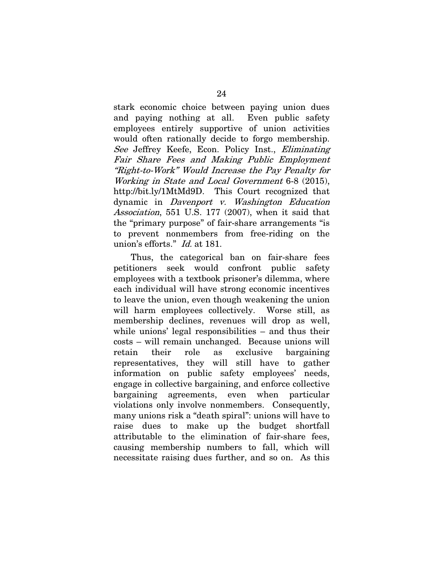<span id="page-32-1"></span>stark economic choice between paying union dues and paying nothing at all. Even public safety employees entirely supportive of union activities would often rationally decide to forgo membership. See Jeffrey Keefe, Econ. Policy Inst., Eliminating Fair Share Fees and Making Public Employment "Right-to-Work" Would Increase the Pay Penalty for Working in State and Local Government 6-8 (2015), http://bit.ly/1MtMd9D. This Court recognized that dynamic in Davenport v. Washington Education Association, 551 U.S. 177 (2007), when it said that the "primary purpose" of fair-share arrangements "is to prevent nonmembers from free-riding on the union's efforts." Id. at 181.

<span id="page-32-0"></span>Thus, the categorical ban on fair-share fees petitioners seek would confront public safety employees with a textbook prisoner's dilemma, where each individual will have strong economic incentives to leave the union, even though weakening the union will harm employees collectively. Worse still, as membership declines, revenues will drop as well, while unions' legal responsibilities – and thus their costs – will remain unchanged. Because unions will retain their role as exclusive bargaining representatives, they will still have to gather information on public safety employees' needs, engage in collective bargaining, and enforce collective bargaining agreements, even when particular violations only involve nonmembers. Consequently, many unions risk a "death spiral": unions will have to raise dues to make up the budget shortfall attributable to the elimination of fair-share fees, causing membership numbers to fall, which will necessitate raising dues further, and so on. As this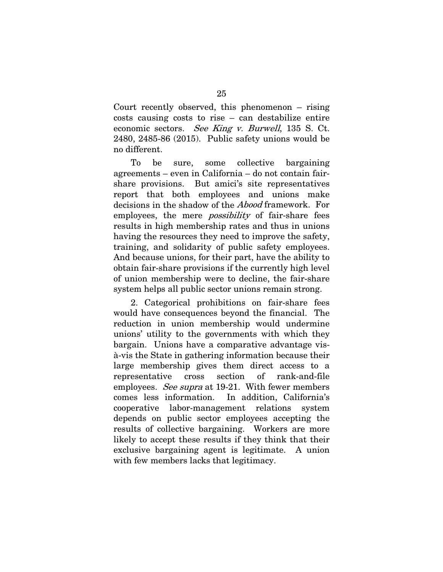<span id="page-33-0"></span>Court recently observed, this phenomenon – rising costs causing costs to rise – can destabilize entire economic sectors. See King v. Burwell, 135 S. Ct. 2480, 2485-86 (2015). Public safety unions would be no different.

To be sure, some collective bargaining agreements – even in California – do not contain fairshare provisions. But amici's site representatives report that both employees and unions make decisions in the shadow of the Abood framework. For employees, the mere *possibility* of fair-share fees results in high membership rates and thus in unions having the resources they need to improve the safety, training, and solidarity of public safety employees. And because unions, for their part, have the ability to obtain fair-share provisions if the currently high level of union membership were to decline, the fair-share system helps all public sector unions remain strong.

2. Categorical prohibitions on fair-share fees would have consequences beyond the financial. The reduction in union membership would undermine unions' utility to the governments with which they bargain. Unions have a comparative advantage visà-vis the State in gathering information because their large membership gives them direct access to a representative cross section of rank-and-file employees. See supra at 19-21. With fewer members comes less information. In addition, California's cooperative labor-management relations system depends on public sector employees accepting the results of collective bargaining. Workers are more likely to accept these results if they think that their exclusive bargaining agent is legitimate. A union with few members lacks that legitimacy.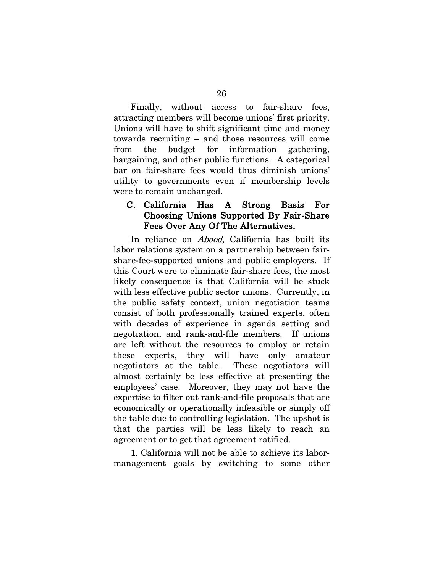Finally, without access to fair-share fees, attracting members will become unions' first priority. Unions will have to shift significant time and money towards recruiting – and those resources will come from the budget for information gathering, bargaining, and other public functions. A categorical bar on fair-share fees would thus diminish unions' utility to governments even if membership levels were to remain unchanged.

#### C. California Has A Strong Basis For Choosing Unions Supported By Fair-Share Fees Over Any Of The Alternatives.

In reliance on *Abood*, California has built its labor relations system on a partnership between fairshare-fee-supported unions and public employers. If this Court were to eliminate fair-share fees, the most likely consequence is that California will be stuck with less effective public sector unions. Currently, in the public safety context, union negotiation teams consist of both professionally trained experts, often with decades of experience in agenda setting and negotiation, and rank-and-file members. If unions are left without the resources to employ or retain these experts, they will have only amateur negotiators at the table. These negotiators will almost certainly be less effective at presenting the employees' case. Moreover, they may not have the expertise to filter out rank-and-file proposals that are economically or operationally infeasible or simply off the table due to controlling legislation. The upshot is that the parties will be less likely to reach an agreement or to get that agreement ratified.

1. California will not be able to achieve its labormanagement goals by switching to some other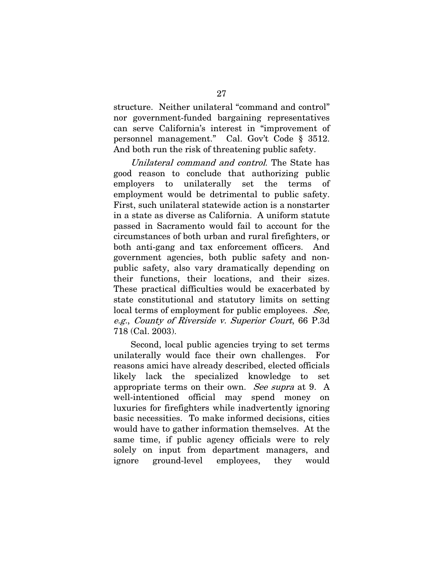structure. Neither unilateral "command and control" nor government-funded bargaining representatives can serve California's interest in "improvement of personnel management." Cal. Gov't Code § 3512. And both run the risk of threatening public safety.

<span id="page-35-1"></span>Unilateral command and control. The State has good reason to conclude that authorizing public employers to unilaterally set the terms of employment would be detrimental to public safety. First, such unilateral statewide action is a nonstarter in a state as diverse as California. A uniform statute passed in Sacramento would fail to account for the circumstances of both urban and rural firefighters, or both anti-gang and tax enforcement officers. And government agencies, both public safety and nonpublic safety, also vary dramatically depending on their functions, their locations, and their sizes. These practical difficulties would be exacerbated by state constitutional and statutory limits on setting local terms of employment for public employees. See, e.g., County of Riverside v. Superior Court, 66 P.3d 718 (Cal. 2003).

<span id="page-35-0"></span>Second, local public agencies trying to set terms unilaterally would face their own challenges. For reasons amici have already described, elected officials likely lack the specialized knowledge to set appropriate terms on their own. See supra at 9. A well-intentioned official may spend money on luxuries for firefighters while inadvertently ignoring basic necessities. To make informed decisions, cities would have to gather information themselves. At the same time, if public agency officials were to rely solely on input from department managers, and ignore ground-level employees, they would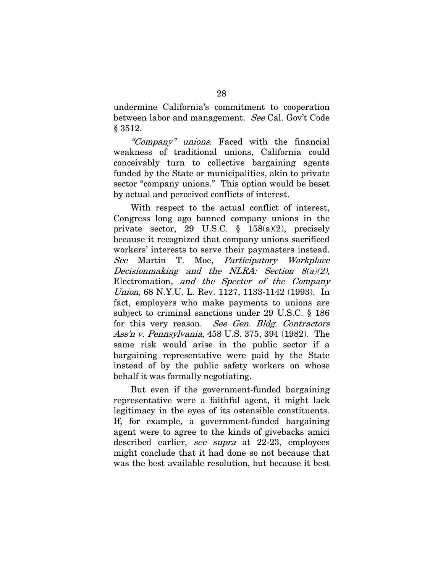<span id="page-36-3"></span>undermine California's commitment to cooperation between labor and management. See Cal. Gov't Code § 3512.

"Company" unions. Faced with the financial weakness of traditional unions, California could conceivably turn to collective bargaining agents funded by the State or municipalities, akin to private sector "company unions." This option would be beset by actual and perceived conflicts of interest.

<span id="page-36-4"></span><span id="page-36-1"></span>With respect to the actual conflict of interest, Congress long ago banned company unions in the private sector, 29 U.S.C. § 158(a)(2), precisely because it recognized that company unions sacrificed workers' interests to serve their paymasters instead. See Martin T. Moe, Participatory Workplace Decisionmaking and the NLRA: Section  $8(a)(2)$ , Electromation, and the Specter of the Company Union, 68 N.Y.U. L. Rev. 1127, 1133-1142 (1993). In fact, employers who make payments to unions are subject to criminal sanctions under 29 U.S.C. § 186 for this very reason. See Gen. Bldg. Contractors Ass'n v. Pennsylvania, 458 U.S. 375, 394 (1982). The same risk would arise in the public sector if a bargaining representative were paid by the State instead of by the public safety workers on whose behalf it was formally negotiating.

<span id="page-36-2"></span><span id="page-36-0"></span>But even if the government-funded bargaining representative were a faithful agent, it might lack legitimacy in the eyes of its ostensible constituents. If, for example, a government-funded bargaining agent were to agree to the kinds of givebacks amici described earlier, see supra at 22-23, employees might conclude that it had done so not because that was the best available resolution, but because it best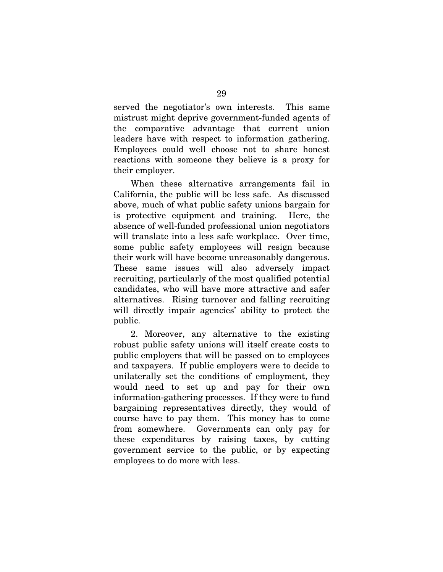served the negotiator's own interests. This same mistrust might deprive government-funded agents of the comparative advantage that current union leaders have with respect to information gathering. Employees could well choose not to share honest reactions with someone they believe is a proxy for their employer.

When these alternative arrangements fail in California, the public will be less safe. As discussed above, much of what public safety unions bargain for is protective equipment and training. Here, the absence of well-funded professional union negotiators will translate into a less safe workplace. Over time, some public safety employees will resign because their work will have become unreasonably dangerous. These same issues will also adversely impact recruiting, particularly of the most qualified potential candidates, who will have more attractive and safer alternatives. Rising turnover and falling recruiting will directly impair agencies' ability to protect the public.

2. Moreover, any alternative to the existing robust public safety unions will itself create costs to public employers that will be passed on to employees and taxpayers. If public employers were to decide to unilaterally set the conditions of employment, they would need to set up and pay for their own information-gathering processes. If they were to fund bargaining representatives directly, they would of course have to pay them. This money has to come from somewhere. Governments can only pay for these expenditures by raising taxes, by cutting government service to the public, or by expecting employees to do more with less.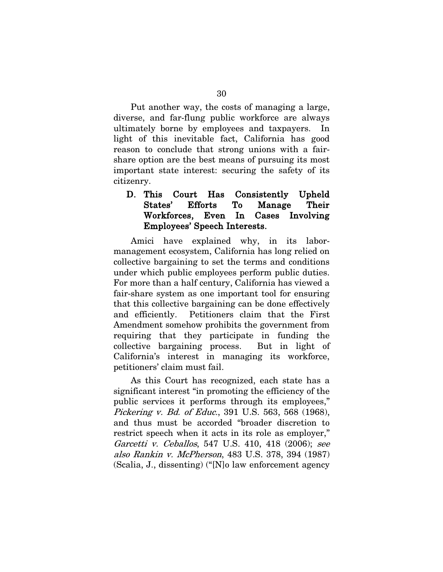Put another way, the costs of managing a large, diverse, and far-flung public workforce are always ultimately borne by employees and taxpayers. In light of this inevitable fact, California has good reason to conclude that strong unions with a fairshare option are the best means of pursuing its most important state interest: securing the safety of its citizenry.

### D. This Court Has Consistently Upheld States' Efforts To Manage Their Workforces, Even In Cases Involving Employees' Speech Interests.

Amici have explained why, in its labormanagement ecosystem, California has long relied on collective bargaining to set the terms and conditions under which public employees perform public duties. For more than a half century, California has viewed a fair-share system as one important tool for ensuring that this collective bargaining can be done effectively and efficiently. Petitioners claim that the First Amendment somehow prohibits the government from requiring that they participate in funding the collective bargaining process. But in light of California's interest in managing its workforce, petitioners' claim must fail.

<span id="page-38-2"></span><span id="page-38-1"></span><span id="page-38-0"></span>As this Court has recognized, each state has a significant interest "in promoting the efficiency of the public services it performs through its employees," Pickering v. Bd. of Educ., 391 U.S. 563, 568 (1968), and thus must be accorded "broader discretion to restrict speech when it acts in its role as employer," Garcetti v. Ceballos, 547 U.S. 410, 418 (2006); see also Rankin v. McPherson, 483 U.S. 378, 394 (1987) (Scalia, J., dissenting) ("[N]o law enforcement agency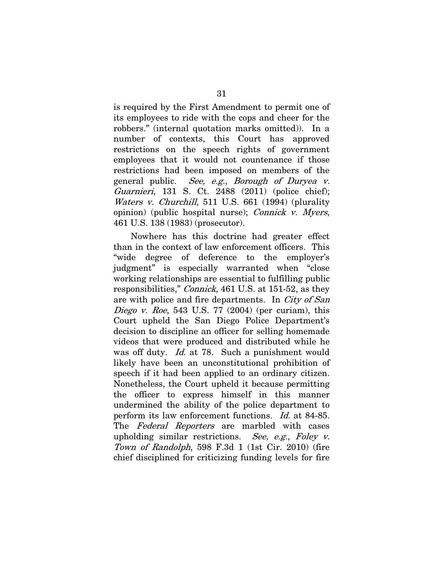is required by the First Amendment to permit one of its employees to ride with the cops and cheer for the robbers." (internal quotation marks omitted)). In a number of contexts, this Court has approved restrictions on the speech rights of government employees that it would not countenance if those restrictions had been imposed on members of the general public. See, e.g., Borough of Duryea v. Guarnieri, 131 S. Ct. 2488 (2011) (police chief); Waters v. Churchill, 511 U.S. 661 (1994) (plurality opinion) (public hospital nurse); *Connick v. Myers*, 461 U.S. 138 (1983) (prosecutor).

<span id="page-39-4"></span><span id="page-39-3"></span><span id="page-39-2"></span><span id="page-39-1"></span><span id="page-39-0"></span>Nowhere has this doctrine had greater effect than in the context of law enforcement officers. This "wide degree of deference to the employer's judgment" is especially warranted when "close working relationships are essential to fulfilling public responsibilities," *Connick*, 461 U.S. at 151-52, as they are with police and fire departments. In City of San Diego v. Roe, 543 U.S. 77 (2004) (per curiam), this Court upheld the San Diego Police Department's decision to discipline an officer for selling homemade videos that were produced and distributed while he was off duty. *Id.* at 78. Such a punishment would likely have been an unconstitutional prohibition of speech if it had been applied to an ordinary citizen. Nonetheless, the Court upheld it because permitting the officer to express himself in this manner undermined the ability of the police department to perform its law enforcement functions. Id. at 84-85. The Federal Reporters are marbled with cases upholding similar restrictions. See, e.g., Foley  $v$ . Town of Randolph, 598 F.3d 1 (1st Cir. 2010) (fire chief disciplined for criticizing funding levels for fire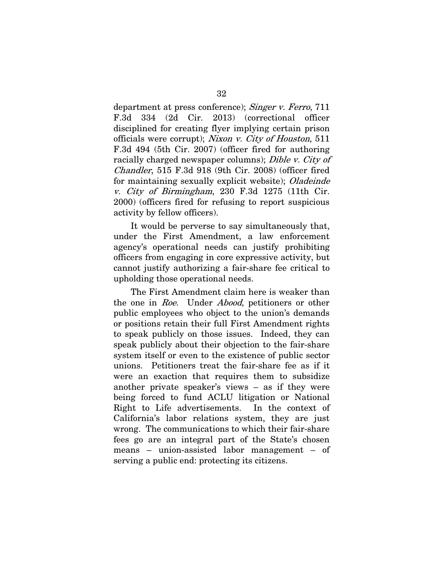<span id="page-40-4"></span><span id="page-40-2"></span><span id="page-40-1"></span>department at press conference); Singer v. Ferro, 711 F.3d 334 (2d Cir. 2013) (correctional officer disciplined for creating flyer implying certain prison officials were corrupt); Nixon v. City of Houston, 511 F.3d 494 (5th Cir. 2007) (officer fired for authoring racially charged newspaper columns); Dible v. City of Chandler, 515 F.3d 918 (9th Cir. 2008) (officer fired for maintaining sexually explicit website); *Oladeinde* v. City of Birmingham, 230 F.3d 1275 (11th Cir. 2000) (officers fired for refusing to report suspicious activity by fellow officers).

<span id="page-40-3"></span>It would be perverse to say simultaneously that, under the First Amendment, a law enforcement agency's operational needs can justify prohibiting officers from engaging in core expressive activity, but cannot justify authorizing a fair-share fee critical to upholding those operational needs.

<span id="page-40-0"></span>The First Amendment claim here is weaker than the one in Roe. Under *Abood*, petitioners or other public employees who object to the union's demands or positions retain their full First Amendment rights to speak publicly on those issues. Indeed, they can speak publicly about their objection to the fair-share system itself or even to the existence of public sector unions. Petitioners treat the fair-share fee as if it were an exaction that requires them to subsidize another private speaker's views – as if they were being forced to fund ACLU litigation or National Right to Life advertisements. In the context of California's labor relations system, they are just wrong. The communications to which their fair-share fees go are an integral part of the State's chosen means – union-assisted labor management – of serving a public end: protecting its citizens.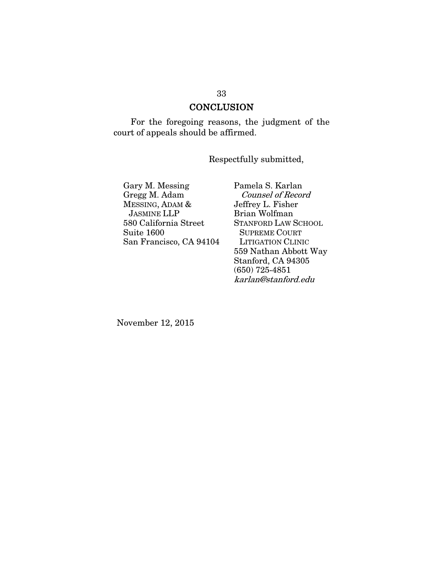### **CONCLUSION**

For the foregoing reasons, the judgment of the court of appeals should be affirmed.

Respectfully submitted,

Gary M. Messing Gregg M. Adam MESSING, ADAM & JASMINE LLP 580 California Street Suite 1600 San Francisco, CA 94104 Pamela S. Karlan Counsel of Record Jeffrey L. Fisher Brian Wolfman STANFORD LAW SCHOOL SUPREME COURT LITIGATION CLINIC 559 Nathan Abbott Way Stanford, CA 94305 (650) 725-4851 karlan@stanford.edu

November 12, 2015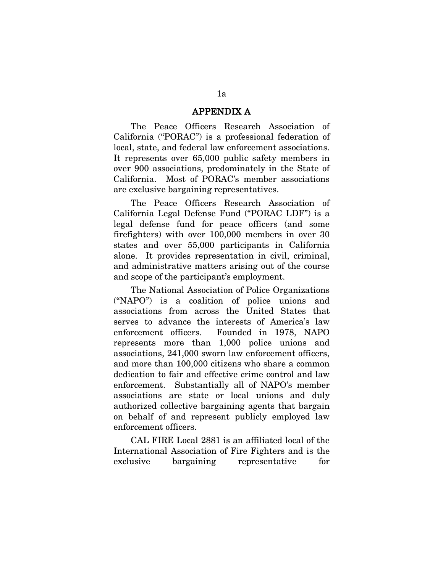#### APPENDIX A

The Peace Officers Research Association of California ("PORAC") is a professional federation of local, state, and federal law enforcement associations. It represents over 65,000 public safety members in over 900 associations, predominately in the State of California. Most of PORAC's member associations are exclusive bargaining representatives.

The Peace Officers Research Association of California Legal Defense Fund ("PORAC LDF") is a legal defense fund for peace officers (and some firefighters) with over 100,000 members in over 30 states and over 55,000 participants in California alone. It provides representation in civil, criminal, and administrative matters arising out of the course and scope of the participant's employment.

The National Association of Police Organizations ("NAPO") is a coalition of police unions and associations from across the United States that serves to advance the interests of America's law enforcement officers. Founded in 1978, NAPO represents more than 1,000 police unions and associations, 241,000 sworn law enforcement officers, and more than 100,000 citizens who share a common dedication to fair and effective crime control and law enforcement. Substantially all of NAPO's member associations are state or local unions and duly authorized collective bargaining agents that bargain on behalf of and represent publicly employed law enforcement officers.

CAL FIRE Local 2881 is an affiliated local of the International Association of Fire Fighters and is the exclusive bargaining representative for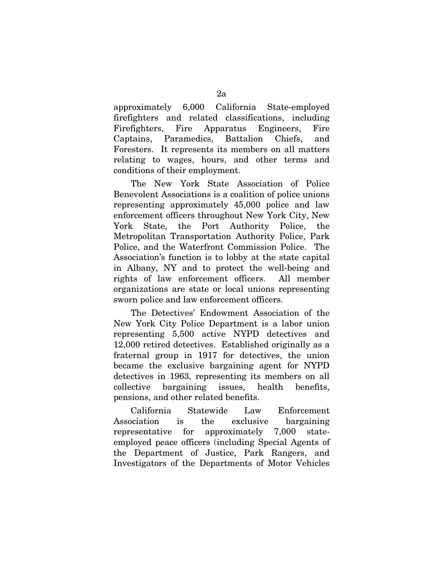approximately 6,000 California State-employed firefighters and related classifications, including Firefighters, Fire Apparatus Engineers, Fire Captains, Paramedics, Battalion Chiefs, and Foresters. It represents its members on all matters relating to wages, hours, and other terms and conditions of their employment.

The New York State Association of Police Benevolent Associations is a coalition of police unions representing approximately 45,000 police and law enforcement officers throughout New York City, New York State, the Port Authority Police, the Metropolitan Transportation Authority Police, Park Police, and the Waterfront Commission Police. The Association's function is to lobby at the state capital in Albany, NY and to protect the well-being and rights of law enforcement officers. All member organizations are state or local unions representing sworn police and law enforcement officers.

The Detectives' Endowment Association of the New York City Police Department is a labor union representing 5,500 active NYPD detectives and 12,000 retired detectives. Established originally as a fraternal group in 1917 for detectives, the union became the exclusive bargaining agent for NYPD detectives in 1963, representing its members on all collective bargaining issues, health benefits, pensions, and other related benefits.

California Statewide Law Enforcement Association is the exclusive bargaining representative for approximately 7,000 stateemployed peace officers (including Special Agents of the Department of Justice, Park Rangers, and Investigators of the Departments of Motor Vehicles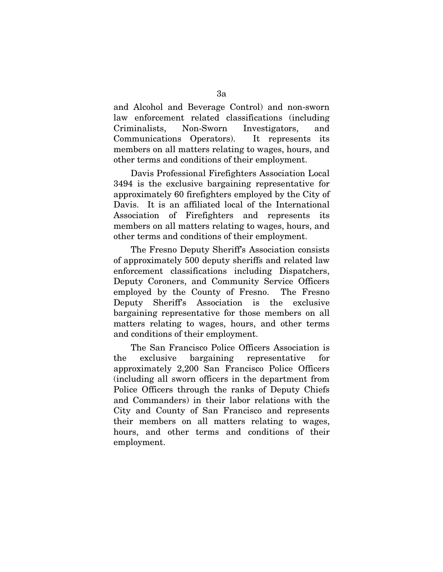and Alcohol and Beverage Control) and non-sworn law enforcement related classifications (including Criminalists, Non-Sworn Investigators, and Communications Operators). It represents its members on all matters relating to wages, hours, and other terms and conditions of their employment.

Davis Professional Firefighters Association Local 3494 is the exclusive bargaining representative for approximately 60 firefighters employed by the City of Davis. It is an affiliated local of the International Association of Firefighters and represents its members on all matters relating to wages, hours, and other terms and conditions of their employment.

The Fresno Deputy Sheriff's Association consists of approximately 500 deputy sheriffs and related law enforcement classifications including Dispatchers, Deputy Coroners, and Community Service Officers employed by the County of Fresno. The Fresno Deputy Sheriff's Association is the exclusive bargaining representative for those members on all matters relating to wages, hours, and other terms and conditions of their employment.

The San Francisco Police Officers Association is the exclusive bargaining representative for approximately 2,200 San Francisco Police Officers (including all sworn officers in the department from Police Officers through the ranks of Deputy Chiefs and Commanders) in their labor relations with the City and County of San Francisco and represents their members on all matters relating to wages, hours, and other terms and conditions of their employment.